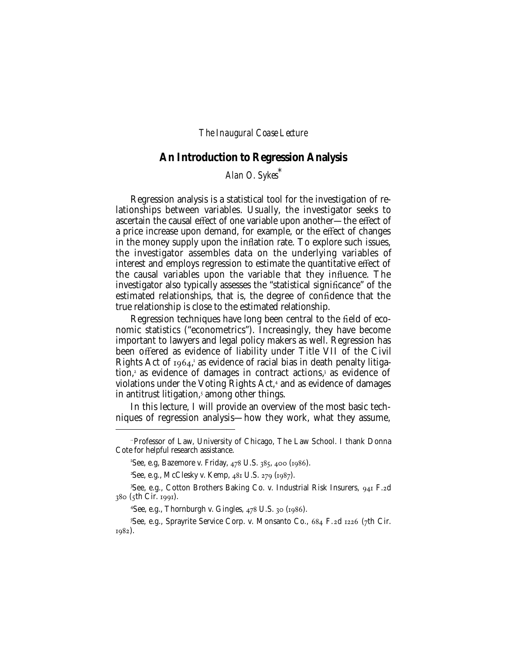# *The Inaugural Coase Lecture*

# **An Introduction to Regression Analysis**

*Alan O. Sykes*\*

Regression analysis is a statistical tool for the investigation of relationships between variables. Usually, the investigator seeks to ascertain the causal effect of one variable upon another—the effect of a price increase upon demand, for example, or the effect of changes in the money supply upon the inflation rate. To explore such issues, the investigator assembles data on the underlying variables of interest and employs regression to estimate the quantitative effect of the causal variables upon the variable that they influence. The investigator also typically assesses the "statistical significance" of the estimated relationships, that is, the degree of confidence that the true relationship is close to the estimated relationship.

Regression techniques have long been central to the field of economic statistics ("econometrics"). Increasingly, they have become important to lawyers and legal policy makers as well. Regression has been offered as evidence of liability under Title VII of the Civil Rights Act of 1964, $^{\rm\scriptscriptstyle I}$  as evidence of racial bias in death penalty litigation, as evidence of damages in contract actions, as evidence of violations under the Voting Rights Act, and as evidence of damages in antitrust litigation, among other things.

In this lecture, I will provide an overview of the most basic techniques of regression analysis—how they work, what they assume,

"See, e.g, Bazemore v. Friday, 478 U.S. 385, 400 (1986).

-

 $4$ See, e.g., Thornburgh v. Gingles,  $478$  U.S.  $30$  ( $1986$ ).

See, e.g., Sprayrite Service Corp. v. Monsanto Co., 684 F.2d 1226 (7th Cir. 1982).

<sup>‥</sup>Professor of Law, University of Chicago, The Law School. I thank Donna Cote for helpful research assistance.

<sup>&</sup>lt;sup>2</sup>See, e.g., McClesky v. Kemp, 481 U.S. 279 (1987).

<sup>&</sup>lt;sup>3</sup>See, e.g., Cotton Brothers Baking Co. v. Industrial Risk Insurers, 941 F.2d  $380$  ( $5th$  Cir.  $1991$ ).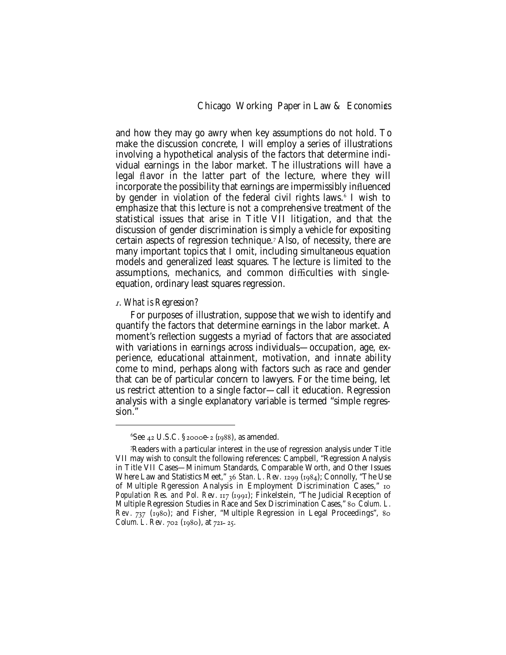and how they may go awry when key assumptions do not hold. To make the discussion concrete, I will employ a series of illustrations involving a hypothetical analysis of the factors that determine individual earnings in the labor market. The illustrations will have a legal flavor in the latter part of the lecture, where they will incorporate the possibility that earnings are impermissibly influenced by gender in violation of the federal civil rights laws. I wish to emphasize that this lecture is not a comprehensive treatment of the statistical issues that arise in Title VII litigation, and that the discussion of gender discrimination is simply a vehicle for expositing certain aspects of regression technique. Also, of necessity, there are many important topics that I omit, including simultaneous equation models and generalized least squares. The lecture is limited to the assumptions, mechanics, and common difficulties with singleequation, ordinary least squares regression.

### *. What is Regression?*

 $\overline{a}$ 

For purposes of illustration, suppose that we wish to identify and quantify the factors that determine earnings in the labor market. A moment's reflection suggests a myriad of factors that are associated with variations in earnings across individuals—occupation, age, experience, educational attainment, motivation, and innate ability come to mind, perhaps along with factors such as race and gender that can be of particular concern to lawyers. For the time being, let us restrict attention to a single factor—call it education. Regression analysis with a single explanatory variable is termed "simple regression."

 ${}^{6}$ See 42 U.S.C. §2000e-2 (1988), as amended.

Readers with a particular interest in the use of regression analysis under Title VII may wish to consult the following references: Campbell, "Regression Analysis in Title VII Cases—Minimum Standards, Comparable Worth, and Other Issues Where Law and Statistics Meet," 36 Stan. L. Rev. 1299 (1984); Connolly, "The Use of Multiple Rgeression Analysis in Employment Discrimination Cases," *Population Res. and Pol. Rev.* 117 (1991); Finkelstein, "The Judicial Reception of Multiple Regression Studies in Race and Sex Discrimination Cases," *Colum. L.*  $Rev.$   $737$  ( $1980$ ); and Fisher, "Multiple Regression in Legal Proceedings", 80 *Colum. L. Rev.* 702 (1980), at 721-25.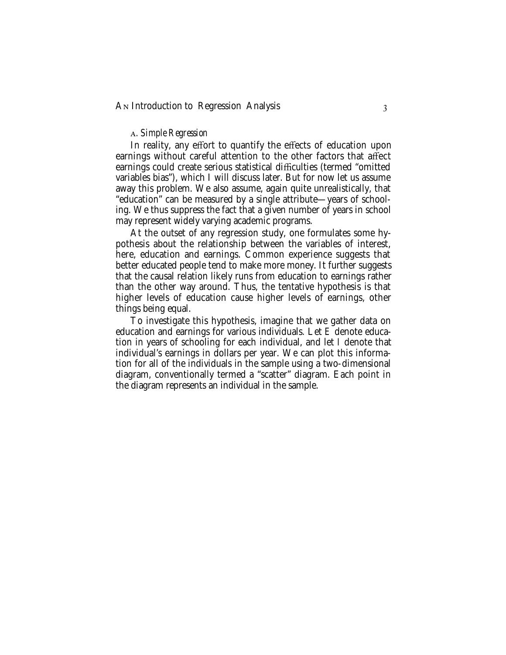AN Introduction to Regression Analysis 3

## *. Simple Regression*

In reality, any effort to quantify the effects of education upon earnings without careful attention to the other factors that affect earnings could create serious statistical difficulties (termed "omitted variables bias"), which I will discuss later. But for now let us assume away this problem. We also assume, again quite unrealistically, that "education" can be measured by a single attribute—years of schooling. We thus suppress the fact that a given number of years in school may represent widely varying academic programs.

At the outset of any regression study, one formulates some hypothesis about the relationship between the variables of interest, here, education and earnings. Common experience suggests that better educated people tend to make more money. It further suggests that the causal relation likely runs from education to earnings rather than the other way around. Thus, the tentative hypothesis is that higher levels of education cause higher levels of earnings, other things being equal.

To investigate this hypothesis, imagine that we gather data on education and earnings for various individuals. Let *E* denote education in years of schooling for each individual, and let *I* denote that individual's earnings in dollars per year. We can plot this information for all of the individuals in the sample using a two-dimensional diagram, conventionally termed a "scatter" diagram. Each point in the diagram represents an individual in the sample.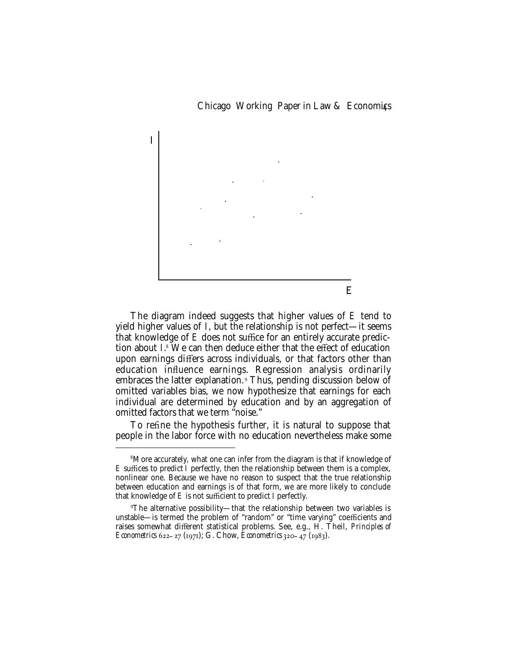Chicago Working Paper in Law & Economics



The diagram indeed suggests that higher values of *E* tend to yield higher values of *I*, but the relationship is not perfect—it seems that knowledge of *E* does not suffice for an entirely accurate prediction about *I*. We can then deduce either that the effect of education upon earnings differs across individuals, or that factors other than education influence earnings. Regression analysis ordinarily embraces the latter explanation. Thus, pending discussion below of omitted variables bias, we now hypothesize that earnings for each individual are determined by education and by an aggregation of omitted factors that we term "noise."

To refine the hypothesis further, it is natural to suppose that people in the labor force with no education nevertheless make some

 ${}^{8}$ More accurately, what one can infer from the diagram is that if knowledge of *E* suffices to predict *I* perfectly, then the relationship between them is a complex, nonlinear one. Because we have no reason to suspect that the true relationship between education and earnings is of that form, we are more likely to conclude that knowledge of *E* is not sufficient to predict *I* perfectly.

The alternative possibility—that the relationship between two variables is unstable—is termed the problem of "random" or "time varying" coefficients and raises somewhat different statistical problems. See, e.g., H. Theil, *Principles of Econometrics* 622–27 (1971); G. Chow, *Econometrics* 320–47 (1983).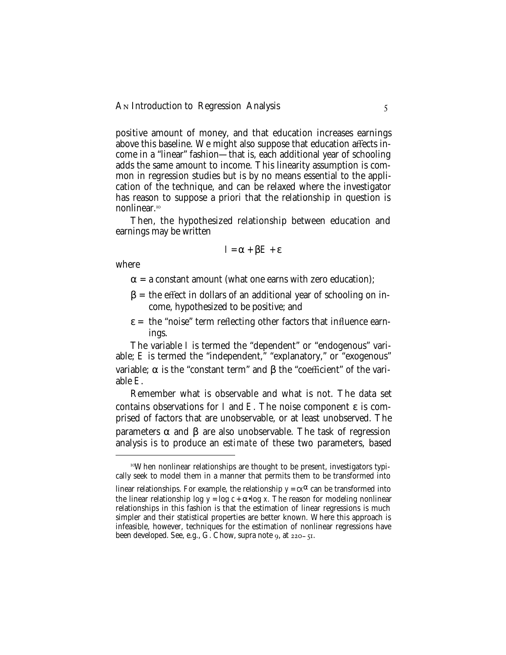positive amount of money, and that education increases earnings above this baseline. We might also suppose that education affects income in a "linear" fashion—that is, each additional year of schooling adds the same amount to income. This linearity assumption is common in regression studies but is by no means essential to the application of the technique, and can be relaxed where the investigator has reason to suppose a priori that the relationship in question is nonlinear.

Then, the hypothesized relationship between education and earnings may be written

$$
I = \alpha + \beta E + \varepsilon
$$

where

 $\overline{a}$ 

- $\alpha$  = a constant amount (what one earns with zero education);
- $\beta$  = the effect in dollars of an additional year of schooling on income, hypothesized to be positive; and
- $\epsilon$  = the "noise" term reflecting other factors that influence earnings.

The variable *I* is termed the "dependent" or "endogenous" variable; *E* is termed the "independent," "explanatory," or "exogenous" variable; α is the "constant term" and β the "coefficient" of the variable *E*.

Remember what is observable and what is not. The data set contains observations for *I* and *E*. The noise component  $\varepsilon$  is comprised of factors that are unobservable, or at least unobserved. The parameters α and β are also unobservable. The task of regression analysis is to produce an *estimate* of these two parameters, based

When nonlinear relationships are thought to be present, investigators typically seek to model them in a manner that permits them to be transformed into linear relationships. For example, the relationship  $y = cx^{\alpha}$  can be transformed into the linear relationship log  $y = log c + \alpha$ •log x. The reason for modeling nonlinear relationships in this fashion is that the estimation of linear regressions is much simpler and their statistical properties are better known. Where this approach is infeasible, however, techniques for the estimation of nonlinear regressions have been developed. See, e.g., G. Chow, supra note  $9$ , at  $220 - 5I$ .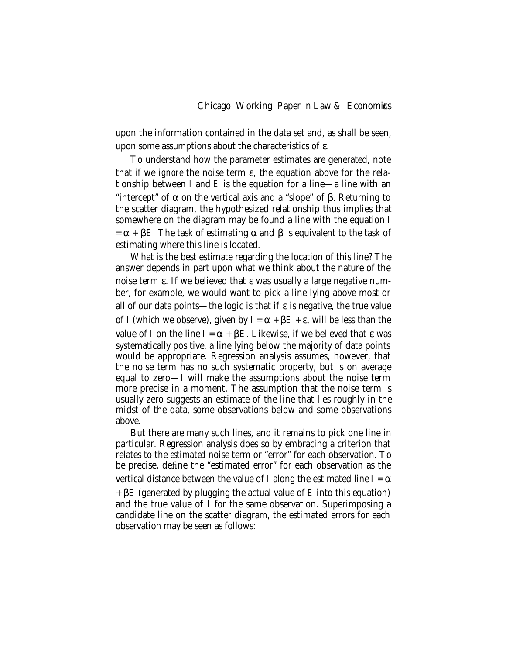upon the information contained in the data set and, as shall be seen, upon some assumptions about the characteristics of ε.

To understand how the parameter estimates are generated, note that if we *ignore* the noise term ε, the equation above for the relationship between *I* and *E* is the equation for a line—a line with an "intercept" of  $\alpha$  on the vertical axis and a "slope" of  $\beta$ . Returning to the scatter diagram, the hypothesized relationship thus implies that somewhere on the diagram may be found a line with the equation *I*  $= \alpha + \beta E$ . The task of estimating  $\alpha$  and  $\beta$  is equivalent to the task of estimating where this line is located.

What is the best estimate regarding the location of this line? The answer depends in part upon what we think about the nature of the noise term ε. If we believed that  $ε$  was usually a large negative number, for example, we would want to pick a line lying above most or all of our data points—the logic is that if  $\varepsilon$  is negative, the true value of *I* (which we observe), given by  $I = \alpha + \beta E + \epsilon$ , will be less than the value of *I* on the line  $I = \alpha + \beta E$ . Likewise, if we believed that  $\varepsilon$  was systematically positive, a line lying below the majority of data points would be appropriate. Regression analysis assumes, however, that the noise term has no such systematic property, but is on average equal to zero—I will make the assumptions about the noise term more precise in a moment. The assumption that the noise term is usually zero suggests an estimate of the line that lies roughly in the midst of the data, some observations below and some observations above.

But there are many such lines, and it remains to pick one line in particular. Regression analysis does so by embracing a criterion that relates to the *estimated* noise term or "error" for each observation. To be precise, define the "estimated error" for each observation as the vertical distance between the value of *I* along the estimated line  $I = \alpha$  $+ \beta E$  (generated by plugging the actual value of *E* into this equation)

and the true value of *I* for the same observation. Superimposing a candidate line on the scatter diagram, the estimated errors for each observation may be seen as follows: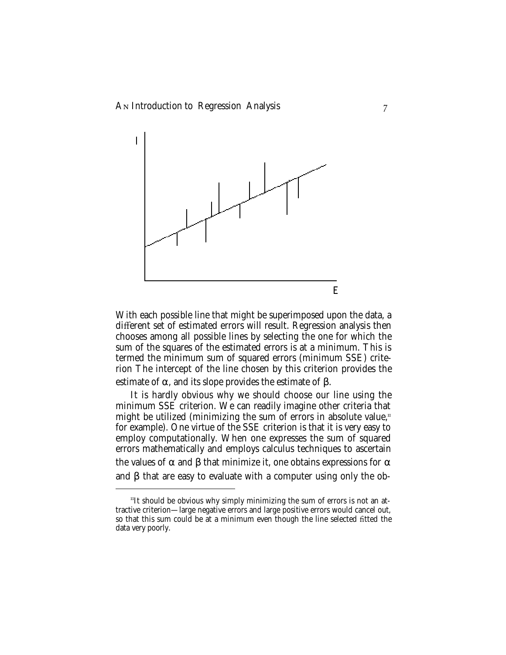

With each possible line that might be superimposed upon the data, a different set of estimated errors will result. Regression analysis then chooses among all possible lines by selecting the one for which the sum of the squares of the estimated errors is at a minimum. This is termed the minimum sum of squared errors (minimum SSE) criterion The intercept of the line chosen by this criterion provides the estimate of  $\alpha$ , and its slope provides the estimate of  $\beta$ .

It is hardly obvious why we should choose our line using the minimum SSE criterion. We can readily imagine other criteria that might be utilized (minimizing the sum of errors in absolute value, for example). One virtue of the SSE criterion is that it is very easy to employ computationally. When one expresses the sum of squared errors mathematically and employs calculus techniques to ascertain the values of  $\alpha$  and  $\beta$  that minimize it, one obtains expressions for  $\alpha$ and β that are easy to evaluate with a computer using only the ob-

-

<sup>&</sup>quot;It should be obvious why simply minimizing the sum of errors is not an attractive criterion—large negative errors and large positive errors would cancel out, so that this sum could be at a minimum even though the line selected fitted the data very poorly.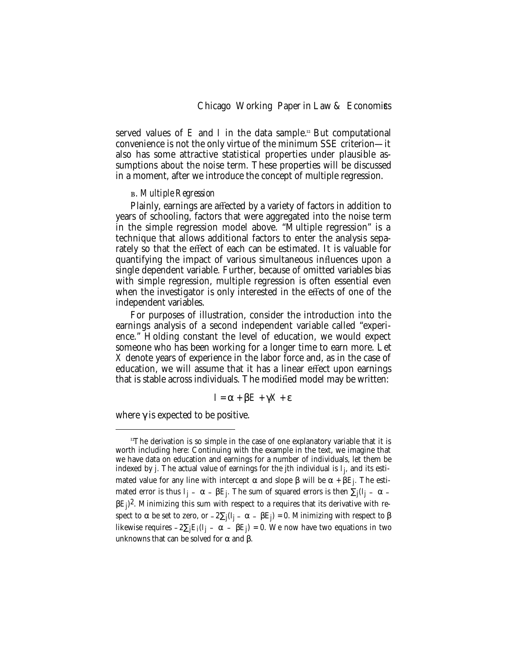served values of  $E$  and  $I$  in the data sample.<sup> $\alpha$ </sup> But computational convenience is not the only virtue of the minimum SSE criterion—it also has some attractive statistical properties under plausible assumptions about the noise term. These properties will be discussed in a moment, after we introduce the concept of multiple regression.

#### *. Multiple Regression*

Plainly, earnings are affected by a variety of factors in addition to years of schooling, factors that were aggregated into the noise term in the simple regression model above. "Multiple regression" is a technique that allows additional factors to enter the analysis separately so that the effect of each can be estimated. It is valuable for quantifying the impact of various simultaneous influences upon a single dependent variable. Further, because of omitted variables bias with simple regression, multiple regression is often essential even when the investigator is only interested in the effects of one of the independent variables.

For purposes of illustration, consider the introduction into the earnings analysis of a second independent variable called "experience." Holding constant the level of education, we would expect someone who has been working for a longer time to earn more. Let *X* denote years of experience in the labor force and, as in the case of education, we will assume that it has a linear effect upon earnings that is stable across individuals. The modified model may be written:

$$
I = \alpha + \beta E + \gamma X + \varepsilon
$$

where  $\gamma$  is expected to be positive.

-

 $T$ The derivation is so simple in the case of one explanatory variable that it is worth including here: Continuing with the example in the text, we imagine that we have data on education and earnings for a number of individuals, let them be indexed by  $j$ . The actual value of earnings for the jth individual is  $I_j$  and its estimated value for any line with intercept α and slope β will be  $\alpha + \beta E_j$ . The estimated error is thus  $I_j$  –  $\alpha$  –  $\beta E_j$ . The sum of squared errors is then  $\sum_j I_j$  –  $\alpha$  –  $\beta E_l^2$ <sup>2</sup>. Minimizing this sum with respect to a requires that its derivative with respect to  $\alpha$  be set to zero, or  $-2\sum (I_j - \alpha - \beta E_j) = 0$ . Minimizing with respect to  $\beta$ likewise requires  $-2\sum_j E_j (I_j - \alpha - \beta E_j) = 0$ . We now have two equations in two unknowns that can be solved for  $\alpha$  and  $\beta$ .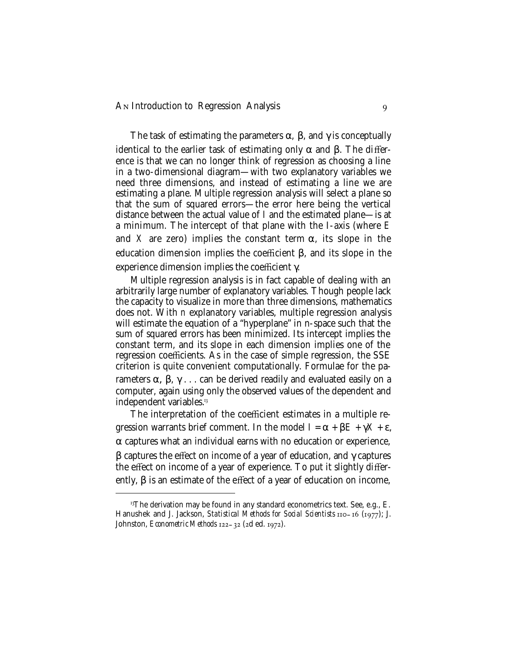The task of estimating the parameters  $\alpha$ ,  $\beta$ , and  $\gamma$  is conceptually identical to the earlier task of estimating only  $\alpha$  and  $\beta$ . The difference is that we can no longer think of regression as choosing a line in a two-dimensional diagram—with two explanatory variables we need three dimensions, and instead of estimating a line we are estimating a plane. Multiple regression analysis will select a plane so that the sum of squared errors—the error here being the vertical distance between the actual value of *I* and the estimated plane—is at a minimum. The intercept of that plane with the I-axis (where *E* and *X* are zero) implies the constant term  $\alpha$ , its slope in the education dimension implies the coefficient β, and its slope in the experience dimension implies the coefficient  $\gamma$ .

Multiple regression analysis is in fact capable of dealing with an arbitrarily large number of explanatory variables. Though people lack the capacity to visualize in more than three dimensions, mathematics does not. With *n* explanatory variables, multiple regression analysis will estimate the equation of a "hyperplane" in n-space such that the sum of squared errors has been minimized. Its intercept implies the constant term, and its slope in each dimension implies one of the regression coefficients. As in the case of simple regression, the SSE criterion is quite convenient computationally. Formulae for the parameters  $\alpha$ ,  $\beta$ ,  $\gamma$ ... can be derived readily and evaluated easily on a computer, again using only the observed values of the dependent and independent variables.

The interpretation of the coefficient estimates in a multiple regression warrants brief comment. In the model *I* = α + β*E* + γ*X* + ε,  $\alpha$  captures what an individual earns with no education or experience, β captures the effect on income of a year of education, and γ captures the effect on income of a year of experience. To put it slightly differently,  $β$  is an estimate of the effect of a year of education on income,

<sup>&</sup>lt;sup>13</sup>The derivation may be found in any standard econometrics text. See, e.g., E. Hanushek and J. Jackson, *Statistical Methods for Social Scientists* 110-16 (1977); J. Johnston, *Econometric Methods* 122–32 (2d ed. 1972).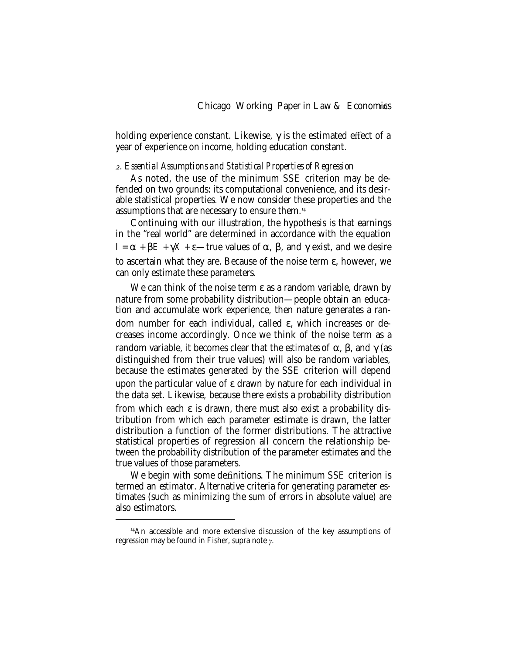holding experience constant. Likewise,  $\gamma$  is the estimated effect of a year of experience on income, holding education constant.

# *. Essential Assumptions and Statistical Properties of Regression*

As noted, the use of the minimum SSE criterion may be defended on two grounds: its computational convenience, and its desirable statistical properties. We now consider these properties and the assumptions that are necessary to ensure them.

Continuing with our illustration, the hypothesis is that earnings in the "real world" are determined in accordance with the equation *I* =  $\alpha$  +  $\beta$ *E* +  $\gamma$ *X* + ε—true values of α, β, and γ exist, and we desire to ascertain what they are. Because of the noise term ε, however, we can only estimate these parameters.

We can think of the noise term ε as a random variable, drawn by nature from some probability distribution—people obtain an education and accumulate work experience, then nature generates a random number for each individual, called ε, which increases or decreases income accordingly. Once we think of the noise term as a random variable, it becomes clear that the *estimates* of  $\alpha$ ,  $\beta$ , and  $\gamma$  (as distinguished from their true values) will also be random variables, because the estimates generated by the SSE criterion will depend upon the particular value of ε drawn by nature for each individual in the data set. Likewise, because there exists a probability distribution from which each ε is drawn, there must also exist a probability distribution from which each parameter estimate is drawn, the latter distribution a function of the former distributions. The attractive statistical properties of regression all concern the relationship between the probability distribution of the parameter estimates and the true values of those parameters.

We begin with some definitions. The minimum SSE criterion is termed an *estimator.* Alternative criteria for generating parameter estimates (such as minimizing the sum of errors in absolute value) are also estimators.

<sup>&</sup>lt;sup>14</sup>An accessible and more extensive discussion of the key assumptions of regression may be found in Fisher, supra note 7.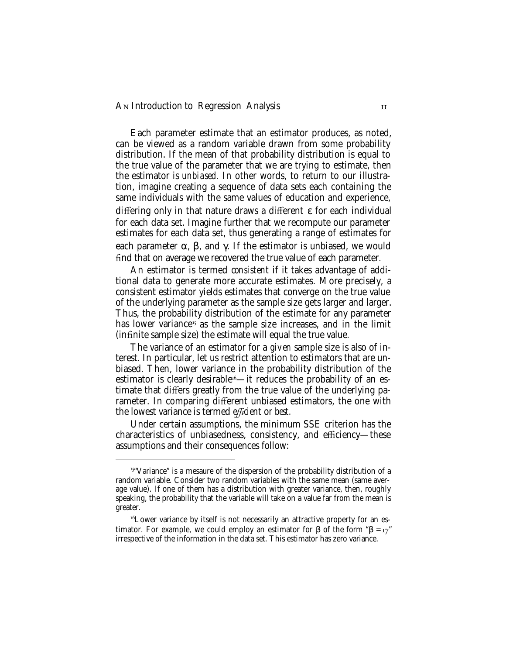#### AN Introduction to Regression Analysis THE 11

Each parameter estimate that an estimator produces, as noted, can be viewed as a random variable drawn from some probability distribution. If the mean of that probability distribution is equal to the true value of the parameter that we are trying to estimate, then the estimator is *unbiased.* In other words, to return to our illustration, imagine creating a sequence of data sets each containing the same individuals with the same values of education and experience, differing only in that nature draws a different ε for each individual for each data set. Imagine further that we recompute our parameter estimates for each data set, thus generating a range of estimates for each parameter  $\alpha$ ,  $\beta$ , and  $\gamma$ . If the estimator is unbiased, we would find that on average we recovered the true value of each parameter.

An estimator is termed *consistent* if it takes advantage of additional data to generate more accurate estimates. More precisely, a consistent estimator yields estimates that converge on the true value of the underlying parameter as the sample size gets larger and larger. Thus, the probability distribution of the estimate for any parameter has lower variance<sup> $5$ </sup> as the sample size increases, and in the limit (infinite sample size) the estimate will equal the true value.

The variance of an estimator for a *given* sample size is also of interest. In particular, let us restrict attention to estimators that are unbiased. Then, lower variance in the probability distribution of the estimator is clearly desirable<sup> $t$ </sup>—it reduces the probability of an estimate that differs greatly from the true value of the underlying parameter. In comparing different unbiased estimators, the one with the lowest variance is termed *efficient* or *best.*

Under certain assumptions, the minimum SSE criterion has the characteristics of unbiasedness, consistency, and efficiency—these assumptions and their consequences follow:

-

<sup>&</sup>lt;sup>154</sup> Variance" is a mesaure of the dispersion of the probability distribution of a random variable. Consider two random variables with the same mean (same average value). If one of them has a distribution with greater variance, then, roughly speaking, the probability that the variable will take on a value far from the mean is greater.

Lower variance by itself is not necessarily an attractive property for an estimator. For example, we could employ an estimator for β of the form "β =  $r\gamma$ " irrespective of the information in the data set. This estimator has zero variance.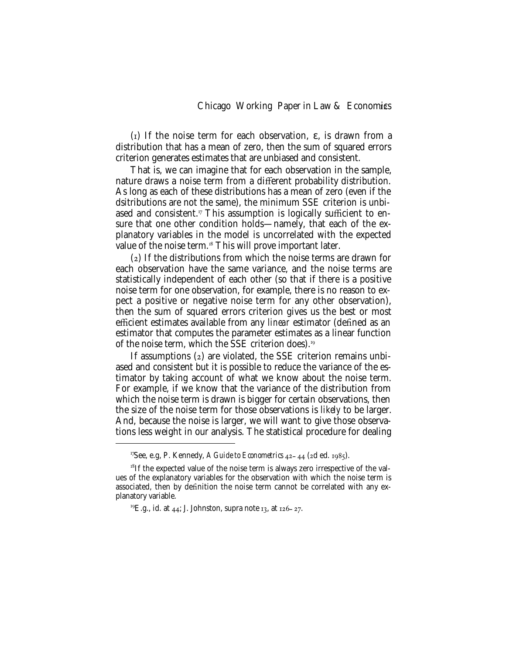( $I$ ) If the noise term for each observation,  $\varepsilon$ , is drawn from a distribution that has a mean of zero, then the sum of squared errors criterion generates estimates that are unbiased and consistent.

That is, we can imagine that for each observation in the sample, nature draws a noise term from a different probability distribution. As long as each of these distributions has a mean of zero (even if the dsitributions are not the same), the minimum SSE criterion is unbiased and consistent. $\nabla$  This assumption is logically sufficient to ensure that one other condition holds—namely, that each of the explanatory variables in the model is uncorrelated with the expected value of the noise term.<sup>18</sup> This will prove important later.

 $(2)$  If the distributions from which the noise terms are drawn for each observation have the same variance, and the noise terms are statistically independent of each other (so that if there is a positive noise term for one observation, for example, there is no reason to expect a positive or negative noise term for any other observation), then the sum of squared errors criterion gives us the best or most efficient estimates available from any *linear* estimator (defined as an estimator that computes the parameter estimates as a linear function of the noise term, which the SSE criterion does).

If assumptions  $(z)$  are violated, the SSE criterion remains unbiased and consistent but it is possible to reduce the variance of the estimator by taking account of what we know about the noise term. For example, if we know that the variance of the distribution from which the noise term is drawn is bigger for certain observations, then the size of the noise term for those observations is *likely* to be larger. And, because the noise is larger, we will want to give those observations less weight in our analysis. The statistical procedure for dealing

<sup>&</sup>lt;sup>17</sup>See, e.g, P. Kennedy, *A Guide to Econometrics*  $42-44$  (2d ed. 1985).

 $E<sup>18</sup>$ If the expected value of the noise term is always zero irrespective of the values of the explanatory variables for the observation with which the noise term is associated, then by definition the noise term cannot be correlated with any explanatory variable.

<sup>&</sup>lt;sup>19</sup>E.g., id. at 44; J. Johnston, supra note 13, at 126-27.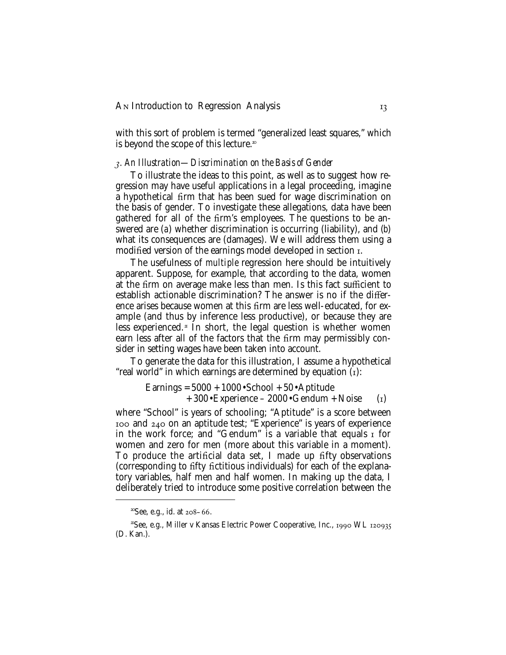with this sort of problem is termed "generalized least squares," which is beyond the scope of this lecture.

#### *. An Illustration—Discrimination on the Basis of Gender*

To illustrate the ideas to this point, as well as to suggest how regression may have useful applications in a legal proceeding, imagine a hypothetical firm that has been sued for wage discrimination on the basis of gender. To investigate these allegations, data have been gathered for all of the firm's employees. The questions to be answered are (*a*) whether discrimination is occurring (liability), and (*b*) what its consequences are (damages). We will address them using a modified version of the earnings model developed in section  $I$ .

The usefulness of *multiple* regression here should be intuitively apparent. Suppose, for example, that according to the data, women at the firm on average make less than men. Is this fact sufficient to establish actionable discrimination? The answer is no if the difference arises because women at this firm are less well-educated, for example (and thus by inference less productive), or because they are less experienced.<sup> $\pi$ </sup> In short, the legal question is whether women earn less after all of the factors that the firm may permissibly consider in setting wages have been taken into account.

To generate the data for this illustration, I assume a hypothetical "real world" in which earnings are determined by equation  $(i)$ :

> Earnings =  $5000 + 1000 \cdot \text{School} + 50 \cdot \text{ Aptitude}$  $+300\text{ -}$ Experience – 2000 $\text{ -}$ Gendum + Noise (1)

where "School" is years of schooling; "Aptitude" is a score between  $100$  and  $240$  on an aptitude test; "Experience" is years of experience in the work force; and "Gendum" is a variable that equals  $I$  for women and zero for men (more about this variable in a moment). To produce the artificial data set, I made up fifty observations (corresponding to fifty fictitious individuals) for each of the explanatory variables, half men and half women. In making up the data, I deliberately tried to introduce some positive correlation between the

 $^{20}$ See, e.g., id. at 208–66.

 $E^{\text{g}}$ See, e.g., Miller v Kansas Electric Power Cooperative, Inc., 1990 WL 120935 (D. Kan.).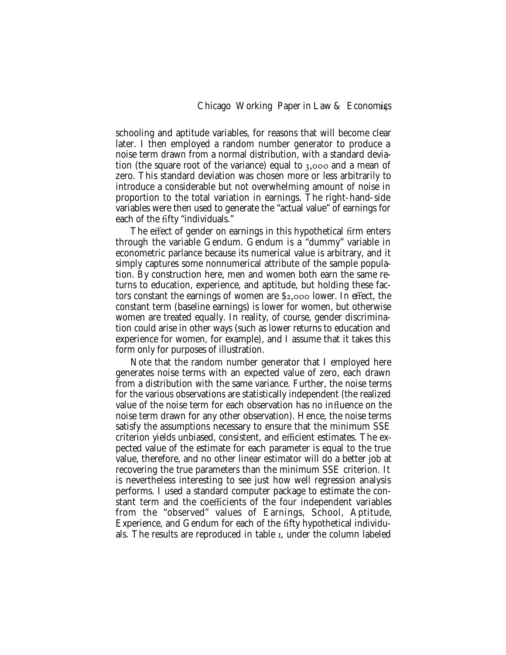schooling and aptitude variables, for reasons that will become clear later. I then employed a random number generator to produce a noise term drawn from a normal distribution, with a standard deviation (the square root of the variance) equal to  $3,000$  and a mean of zero. This standard deviation was chosen more or less arbitrarily to introduce a considerable but not overwhelming amount of noise in proportion to the total variation in earnings. The right-hand-side variables were then used to generate the "actual value" of earnings for each of the fifty "individuals."

The effect of gender on earnings in this hypothetical firm enters through the variable Gendum. Gendum is a "dummy" variable in econometric parlance because its numerical value is arbitrary, and it simply captures some nonnumerical attribute of the sample population. By construction here, men and women both earn the same returns to education, experience, and aptitude, but holding these factors constant the earnings of women are  $\S$ 2,000 lower. In effect, the constant term (baseline earnings) is lower for women, but otherwise women are treated equally. In reality, of course, gender discrimination could arise in other ways (such as lower returns to education and experience for women, for example), and I assume that it takes this form only for purposes of illustration.

Note that the random number generator that I employed here generates noise terms with an expected value of zero, each drawn from a distribution with the same variance. Further, the noise terms for the various observations are statistically independent (the realized value of the noise term for each observation has no influence on the noise term drawn for any other observation). Hence, the noise terms satisfy the assumptions necessary to ensure that the minimum SSE criterion yields unbiased, consistent, and efficient estimates. The expected value of the estimate for each parameter is equal to the true value, therefore, and no other linear estimator will do a better job at recovering the true parameters than the minimum SSE criterion. It is nevertheless interesting to see just how well regression analysis performs. I used a standard computer package to estimate the constant term and the coefficients of the four independent variables from the "observed" values of Earnings, School, Aptitude, Experience, and Gendum for each of the fifty hypothetical individuals. The results are reproduced in table  $I$ , under the column labeled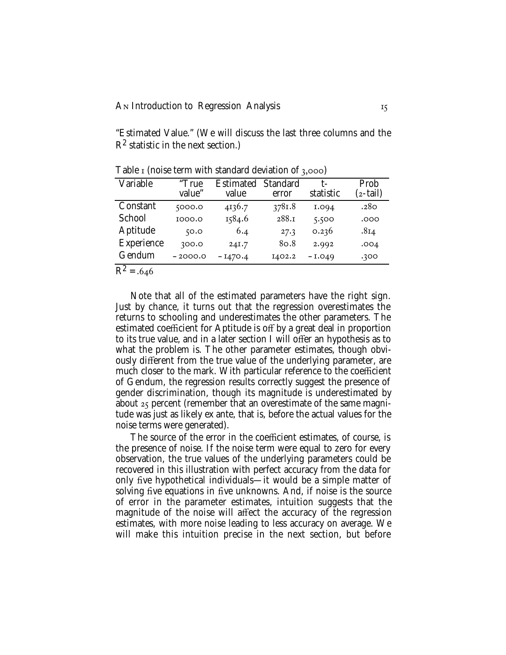"Estimated Value." (We will discuss the last three columns and the  $R^2$  statistic in the next section.)

| Variable          | "True<br>value" | <b>Estimated</b><br>value | <b>Standard</b><br>error | t-<br>statistic | Prob<br>$(2-tail)$ |
|-------------------|-----------------|---------------------------|--------------------------|-----------------|--------------------|
| Constant          | 5000.0          | 4136.7                    | 3781.8                   | I.094           | .280               |
| <b>School</b>     | 1000.0          | 1584.6                    | 288.I                    | 5.500           | .000               |
| Aptitude          | 50.0            | 6.4                       | 27.3                     | 0.236           | .814               |
| <b>Experience</b> | 300.0           | 24I.7                     | 80.8                     | 2.992           | .004               |
| Gendum            | $-2000.0$       | $-1470.4$                 | 1402.2                   | $-1.049$        | .300               |

Table  $\Gamma$  (noise term with standard deviation of 3,000)

 $R^2 = .646$ 

Note that all of the estimated parameters have the right sign. Just by chance, it turns out that the regression overestimates the returns to schooling and underestimates the other parameters. The estimated coefficient for Aptitude is off by a great deal in proportion to its true value, and in a later section I will offer an hypothesis as to what the problem is. The other parameter estimates, though obviously different from the true value of the underlying parameter, are much closer to the mark. With particular reference to the coefficient of Gendum, the regression results correctly suggest the presence of gender discrimination, though its magnitude is underestimated by about  $25$  percent (remember that an overestimate of the same magnitude was just as likely ex ante, that is, before the actual values for the noise terms were generated).

The source of the error in the coefficient estimates, of course, is the presence of noise. If the noise term were equal to zero for every observation, the true values of the underlying parameters could be recovered in this illustration with perfect accuracy from the data for only five hypothetical individuals—it would be a simple matter of solving five equations in five unknowns. And, if noise is the source of error in the parameter estimates, intuition suggests that the magnitude of the noise will affect the accuracy of the regression estimates, with more noise leading to less accuracy on average. We will make this intuition precise in the next section, but before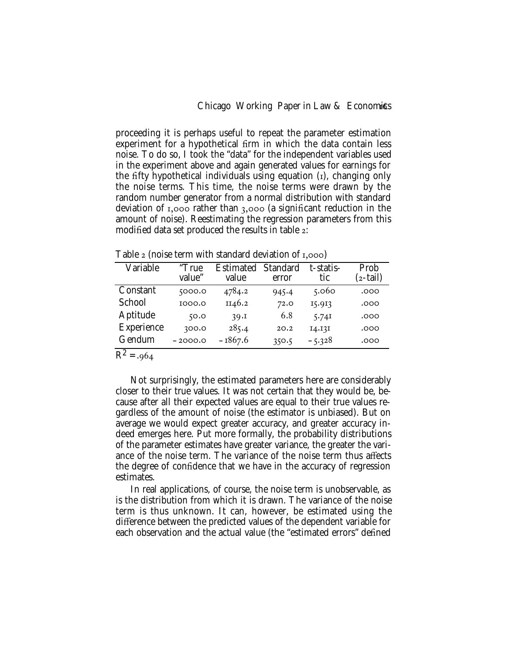proceeding it is perhaps useful to repeat the parameter estimation experiment for a hypothetical firm in which the data contain less noise. To do so, I took the "data" for the independent variables used in the experiment above and again generated values for earnings for the fifty hypothetical individuals using equation  $(i)$ , changing only the noise terms. This time, the noise terms were drawn by the random number generator from a normal distribution with standard deviation of  $I, ooo$  rather than  $3, ooo$  (a significant reduction in the amount of noise). Reestimating the regression parameters from this modified data set produced the results in table  $2$ :

Table  $2$  (noise term with standard deviation of  $I,000$ )

| Variable          | "True<br>value" | <b>Estimated Standard</b><br>value | error | t-statis-<br>tic | Prob<br>$(2-tail)$ |
|-------------------|-----------------|------------------------------------|-------|------------------|--------------------|
| Constant          | 5000.0          | 4784.2                             | 945.4 | 5.060            | .000               |
|                   |                 |                                    |       |                  |                    |
| <b>School</b>     | 1000.0          | II46.2                             | 72.0  | 15.913           | .000               |
| Aptitude          | 50.0            | 39.1                               | 6.8   | 5.74I            | .000               |
| <b>Experience</b> | 300.0           | 285.4                              | 20.2  | 14.131           | .000               |
| Gendum            | $-2000.0$       | $-1867.6$                          | 350.5 | $-5.328$         | .000               |

 $R^2 = .964$ 

Not surprisingly, the estimated parameters here are considerably closer to their true values. It was not certain that they would be, because after all their expected values are equal to their true values regardless of the amount of noise (the estimator is unbiased). But on average we would expect greater accuracy, and greater accuracy indeed emerges here. Put more formally, the probability distributions of the parameter estimates have greater variance, the greater the variance of the noise term. The variance of the noise term thus affects the degree of confidence that we have in the accuracy of regression estimates.

In real applications, of course, the noise term is unobservable, as is the distribution from which it is drawn. The variance of the noise term is thus unknown. It can, however, be estimated using the difference between the predicted values of the dependent variable for each observation and the actual value (the "estimated errors" defined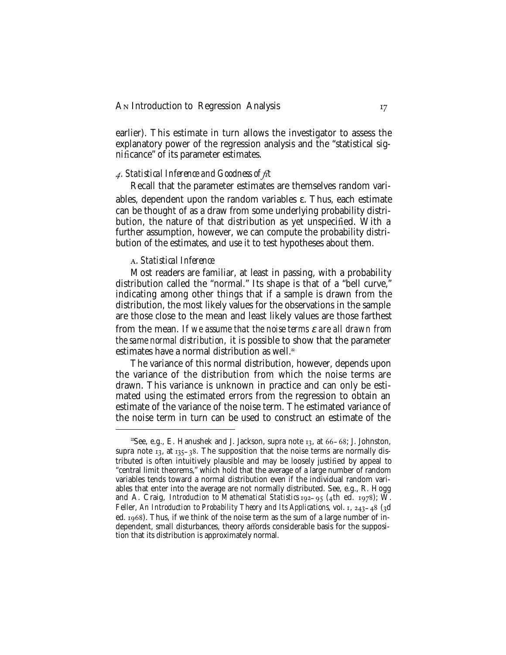earlier). This estimate in turn allows the investigator to assess the explanatory power of the regression analysis and the "statistical significance" of its parameter estimates.

# *. Statistical Inference and Goodness of fit*

Recall that the parameter estimates are themselves random variables, dependent upon the random variables ε. Thus, each estimate can be thought of as a draw from some underlying probability distribution, the nature of that distribution as yet unspecified. With a further assumption, however, we can compute the probability distribution of the estimates, and use it to test hypotheses about them.

# *. Statistical Inference*

-

Most readers are familiar, at least in passing, with a probability distribution called the "normal." Its shape is that of a "bell curve," indicating among other things that if a sample is drawn from the distribution, the most likely values for the observations in the sample are those close to the mean and least likely values are those farthest from the mean. *If we assume that the noise terms* ε *are all drawn from the same normal distribution,* it is possible to show that the parameter estimates have a normal distribution as well.

The variance of this normal distribution, however, depends upon the variance of the distribution from which the noise terms are drawn. This variance is unknown in practice and can only be estimated using the estimated errors from the regression to obtain an estimate of the variance of the noise term. The estimated variance of the noise term in turn can be used to construct an estimate of the

<sup>&</sup>lt;sup>22</sup>See, e.g., E. Hanushek and J. Jackson, supra note  $r_3$ , at  $66-68$ ; J. Johnston, supra note  $x_3$ , at  $x_3 = -38$ . The supposition that the noise terms are normally distributed is often intuitively plausible and may be loosely justified by appeal to "central limit theorems," which hold that the average of a large number of random variables tends toward a normal distribution even if the individual random variables that enter into the average are not normally distributed. See, e.g., R. Hogg and A. Craig, *Introduction to Mathematical Statistics* 192-95 (4th ed. 1978); W. Feller, *An Introduction to Probability Theory and Its Applications*, vol. 1, 243-48 (3d ed. 1968). Thus, if we think of the noise term as the sum of a large number of independent, small disturbances, theory affords considerable basis for the supposition that its distribution is approximately normal.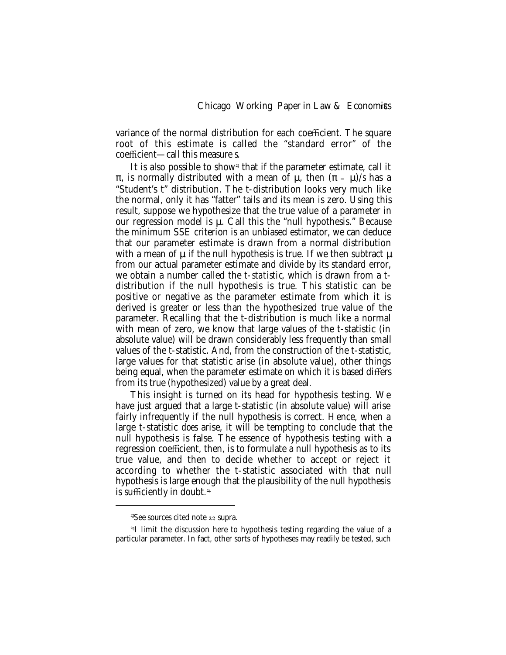variance of the normal distribution for each coefficient. The square root of this estimate is called the "standard error" of the coefficient—call this measure *s.*

It is also possible to show<sup>3</sup> that if the parameter estimate, call it π, is normally distributed with a mean of µ, then (π – µ)/*s* has a "Student's t" distribution. The t-distribution looks very much like the normal, only it has "fatter" tails and its mean is zero. Using this result, suppose we hypothesize that the true value of a parameter in our regression model is  $\mu$ . Call this the "null hypothesis." Because the minimum SSE criterion is an unbiased estimator, we can deduce that our parameter estimate is drawn from a normal distribution with a mean of  $\mu$  if the null hypothesis is true. If we then subtract  $\mu$ from our actual parameter estimate and divide by its standard error, we obtain a number called the *t-statistic,* which is drawn from a tdistribution if the null hypothesis is true. This statistic can be positive or negative as the parameter estimate from which it is derived is greater or less than the hypothesized true value of the parameter. Recalling that the t-distribution is much like a normal with mean of zero, we know that large values of the t-statistic (in absolute value) will be drawn considerably less frequently than small values of the t-statistic. And, from the construction of the t-statistic, large values for that statistic arise (in absolute value), other things being equal, when the parameter estimate on which it is based differs from its true (hypothesized) value by a great deal.

This insight is turned on its head for hypothesis testing. We have just argued that a large t-statistic (in absolute value) will arise fairly infrequently if the null hypothesis is correct. Hence, when a large t-statistic *does* arise, it will be tempting to conclude that the null hypothesis is false. The essence of hypothesis testing with a regression coefficient, then, is to formulate a null hypothesis as to its true value, and then to decide whether to accept or reject it according to whether the t-statistic associated with that null hypothesis is large enough that the plausibility of the null hypothesis is sufficiently in doubt.

<sup>&</sup>lt;sup>3</sup>See sources cited note 22 supra.

<sup>&</sup>lt;sup>24</sup>I limit the discussion here to hypothesis testing regarding the value of a particular parameter. In fact, other sorts of hypotheses may readily be tested, such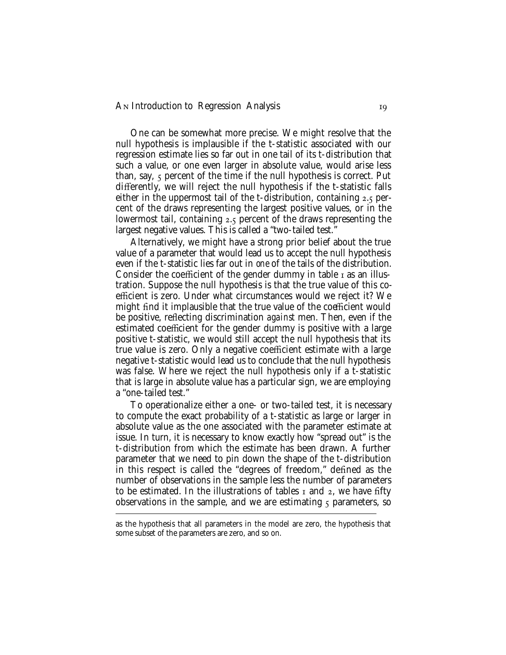### AN Introduction to Regression Analysis 19

One can be somewhat more precise. We might resolve that the null hypothesis is implausible if the t-statistic associated with our regression estimate lies so far out in one tail of its t-distribution that such a value, or one even larger in absolute value, would arise less than, say,  $\varsigma$  percent of the time if the null hypothesis is correct. Put differently, we will reject the null hypothesis if the t-statistic falls either in the uppermost tail of the t-distribution, containing  $2.5$  percent of the draws representing the largest positive values, or in the lowermost tail, containing  $2.5$  percent of the draws representing the largest negative values. This is called a "two-tailed test."

Alternatively, we might have a strong prior belief about the true value of a parameter that would lead us to accept the null hypothesis even if the t-statistic lies far out in *one* of the tails of the distribution. Consider the coefficient of the gender dummy in table  $\bar{a}$  as an illustration. Suppose the null hypothesis is that the true value of this coefficient is zero. Under what circumstances would we reject it? We might find it implausible that the true value of the coefficient would be positive, reflecting discrimination *against* men. Then, even if the estimated coefficient for the gender dummy is positive with a large positive t-statistic, we would still accept the null hypothesis that its true value is zero. Only a negative coefficient estimate with a large negative t-statistic would lead us to conclude that the null hypothesis was false. Where we reject the null hypothesis only if a t-statistic that is large in absolute value has a particular sign, we are employing a "one-tailed test."

To operationalize either a one- or two-tailed test, it is necessary to compute the exact probability of a t-statistic as large or larger in absolute value as the one associated with the parameter estimate at issue. In turn, it is necessary to know exactly how "spread out" is the t-distribution from which the estimate has been drawn. A further parameter that we need to pin down the shape of the t-distribution in this respect is called the "degrees of freedom," defined as the number of observations in the sample less the number of parameters to be estimated. In the illustrations of tables  $\bar{a}$  and  $\bar{a}$ , we have fifty observations in the sample, and we are estimating  $\zeta$  parameters, so

as the hypothesis that all parameters in the model are zero, the hypothesis that some subset of the parameters are zero, and so on.

-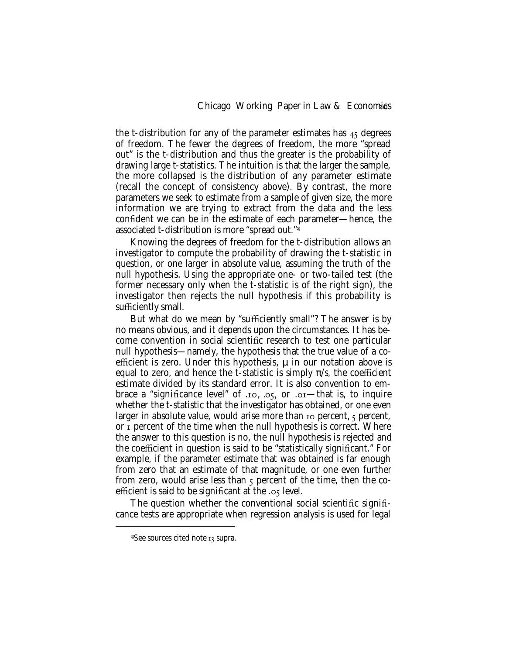the t-distribution for any of the parameter estimates has  $45$  degrees of freedom. The fewer the degrees of freedom, the more "spread out" is the t-distribution and thus the greater is the probability of drawing large t-statistics. The intuition is that the larger the sample, the more collapsed is the distribution of any parameter estimate (recall the concept of consistency above). By contrast, the more parameters we seek to estimate from a sample of given size, the more information we are trying to extract from the data and the less confident we can be in the estimate of each parameter—hence, the associated t-distribution is more "spread out."

Knowing the degrees of freedom for the t-distribution allows an investigator to compute the probability of drawing the t-statistic in question, or one larger in absolute value, assuming the truth of the null hypothesis. Using the appropriate one- or two-tailed test (the former necessary only when the t-statistic is of the right sign), the investigator then rejects the null hypothesis if this probability is sufficiently small.

But what do we mean by "sufficiently small"? The answer is by no means obvious, and it depends upon the circumstances. It has become convention in social scientific research to test one particular null hypothesis—namely, the hypothesis that the true value of a coefficient is zero. Under this hypothesis,  $\mu$  in our notation above is equal to zero, and hence the t-statistic is simply  $\pi/s$ , the coefficient estimate divided by its standard error. It is also convention to embrace a "significance level" of .10, .05, or .01—that is, to inquire whether the t-statistic that the investigator has obtained, or one even larger in absolute value, would arise more than  $\sigma$  percent,  $\sigma$  percent, or  $I$  percent of the time when the null hypothesis is correct. Where the answer to this question is no, the null hypothesis is rejected and the coefficient in question is said to be "statistically significant." For example, if the parameter estimate that was obtained is far enough from zero that an estimate of that magnitude, or one even further from zero, would arise less than  $\zeta$  percent of the time, then the coefficient is said to be significant at the  $.05$  level.

The question whether the conventional social scientific significance tests are appropriate when regression analysis is used for legal

-

<sup>&</sup>lt;sup>3</sup>See sources cited note 13 supra.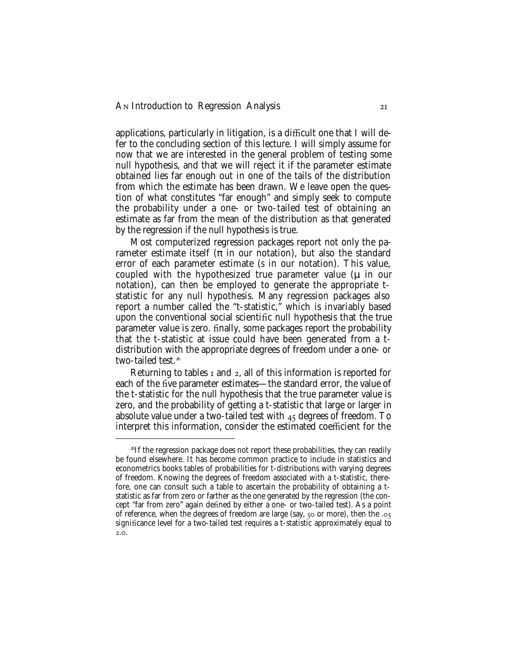applications, particularly in litigation, is a difficult one that I will defer to the concluding section of this lecture. I will simply assume for now that we are interested in the general problem of testing some null hypothesis, and that we will reject it if the parameter estimate obtained lies far enough out in one of the tails of the distribution from which the estimate has been drawn. We leave open the question of what constitutes "far enough" and simply seek to compute the probability under a one- or two-tailed test of obtaining an estimate as far from the mean of the distribution as that generated by the regression if the null hypothesis is true.

Most computerized regression packages report not only the parameter estimate itself ( $\pi$  in our notation), but also the standard error of each parameter estimate (*s* in our notation). This value, coupled with the hypothesized true parameter value  $(\mu)$  in our notation), can then be employed to generate the appropriate tstatistic for any null hypothesis. Many regression packages also report a number called the "t-statistic," which is invariably based upon the conventional social scientific null hypothesis that the true parameter value is zero. finally, some packages report the probability that the t-statistic at issue could have been generated from a tdistribution with the appropriate degrees of freedom under a one- or two-tailed test.

Returning to tables  $\bar{a}$  and  $\bar{a}$ , all of this information is reported for each of the five parameter estimates—the standard error, the value of the t-statistic for the null hypothesis that the true parameter value is zero, and the probability of getting a t-statistic that large or larger in absolute value under a two-tailed test with  $45$  degrees of freedom. To interpret this information, consider the estimated coefficient for the

 $\mathscr{D}$ If the regression package does not report these probabilities, they can readily be found elsewhere. It has become common practice to include in statistics and econometrics books tables of probabilities for t-distributions with varying degrees of freedom. Knowing the degrees of freedom associated with a t-statistic, therefore, one can consult such a table to ascertain the probability of obtaining a tstatistic as far from zero or farther as the one generated by the regression (the concept "far from zero" again defined by either a one- or two-tailed test). As a point of reference, when the degrees of freedom are large (say,  $\zeta$  or more), then the .05 significance level for a two-tailed test requires a t-statistic approximately equal to 2.O.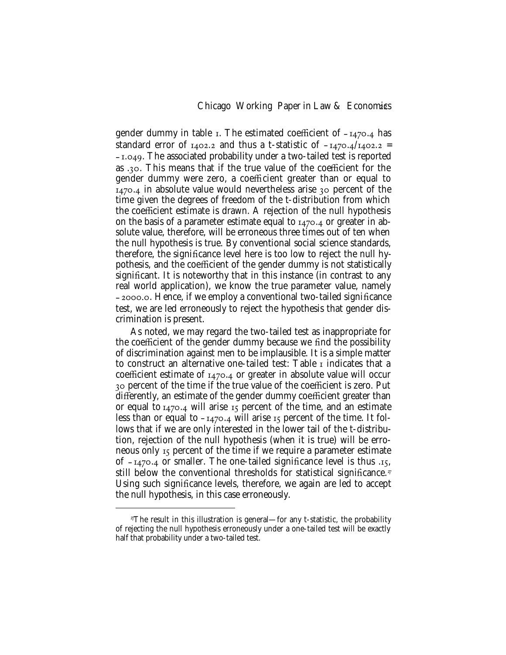gender dummy in table  $\overline{L}$ . The estimated coefficient of  $-\frac{1470.4}{4}$  has standard error of  $I_{402.2}$  and thus a t-statistic of  $-I_{470.4}/I_{402.2}$  =  $-1.049$ . The associated probability under a two-tailed test is reported as .30. This means that if the true value of the coefficient for the gender dummy were zero, a coefficient greater than or equal to  $1470.4$  in absolute value would nevertheless arise  $30$  percent of the time given the degrees of freedom of the t-distribution from which the coefficient estimate is drawn. A rejection of the null hypothesis on the basis of a parameter estimate equal to  $_{1470.4}$  or greater in absolute value, therefore, will be erroneous three times out of ten when the null hypothesis is true. By conventional social science standards, therefore, the significance level here is too low to reject the null hypothesis, and the coefficient of the gender dummy is not statistically significant. It is noteworthy that in this instance (in contrast to any real world application), we know the true parameter value, namely -2000.0. Hence, if we employ a conventional two-tailed significance test, we are led erroneously to reject the hypothesis that gender discrimination is present.

As noted, we may regard the two-tailed test as inappropriate for the coefficient of the gender dummy because we find the possibility of discrimination against men to be implausible. It is a simple matter to construct an alternative one-tailed test: Table I indicates that a coefficient estimate of  $_{1470.4}$  or greater in absolute value will occur percent of the time if the true value of the coefficient is zero. Put differently, an estimate of the gender dummy coefficient greater than or equal to  $1470.4$  will arise  $15$  percent of the time, and an estimate less than or equal to  $-1470.4$  will arise 15 percent of the time. It follows that if we are only interested in the lower tail of the t-distribution, rejection of the null hypothesis (when it is true) will be erroneous only  $\pi$  percent of the time if we require a parameter estimate of  $-1470.4$  or smaller. The one-tailed significance level is thus .15, still below the conventional thresholds for statistical significance.<sup> $\tau$ </sup> Using such significance levels, therefore, we again are led to accept the null hypothesis, in this case erroneously.

The result in this illustration is general—for any t-statistic, the probability of rejecting the null hypothesis erroneously under a one-tailed test will be exactly half that probability under a two-tailed test.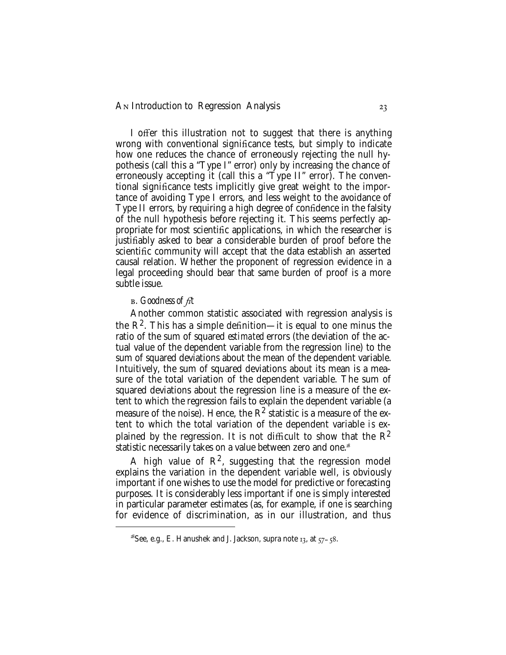I offer this illustration not to suggest that there is anything wrong with conventional significance tests, but simply to indicate how one reduces the chance of erroneously rejecting the null hypothesis (call this a "Type I" error) only by increasing the chance of erroneously accepting it (call this a "Type II" error). The conventional significance tests implicitly give great weight to the importance of avoiding Type I errors, and less weight to the avoidance of Type II errors, by requiring a high degree of confidence in the falsity of the null hypothesis before rejecting it. This seems perfectly appropriate for most scientific applications, in which the researcher is justifiably asked to bear a considerable burden of proof before the scientific community will accept that the data establish an asserted causal relation. Whether the proponent of regression evidence in a legal proceeding should bear that same burden of proof is a more subtle issue.

### *. Goodness of fit*

 $\overline{a}$ 

Another common statistic associated with regression analysis is the  $R^2$ . This has a simple definition—it is equal to one minus the ratio of the sum of squared *estimated* errors (the deviation of the actual value of the dependent variable from the regression line) to the sum of squared deviations about the mean of the dependent variable. Intuitively, the sum of squared deviations about its mean is a measure of the total variation of the dependent variable. The sum of squared deviations about the regression line is a measure of the extent to which the regression fails to explain the dependent variable (a measure of the noise). Hence, the  $\mathbb{R}^2$  statistic is a measure of the extent to which the total variation of the dependent variable *is* explained by the regression. It is not difficult to show that the  $\mathbb{R}^2$ statistic necessarily takes on a value between zero and one.<sup>8</sup>

A high value of  $\mathbb{R}^2$ , suggesting that the regression model explains the variation in the dependent variable well, is obviously important if one wishes to use the model for predictive or forecasting purposes. It is considerably less important if one is simply interested in particular parameter estimates (as, for example, if one is searching for evidence of discrimination, as in our illustration, and thus

 $^{\text{A}}$ See, e.g., E. Hanushek and J. Jackson, supra note 13, at 57–58.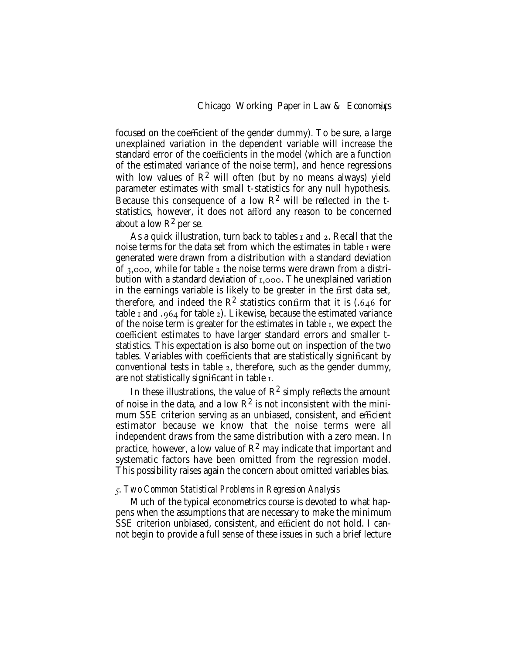focused on the coefficient of the gender dummy). To be sure, a large unexplained variation in the dependent variable will increase the standard error of the coefficients in the model (which are a function of the estimated variance of the noise term), and hence regressions with low values of  $\mathbb{R}^2$  will often (but by no means always) yield parameter estimates with small t-statistics for any null hypothesis. Because this consequence of a low  $\mathbb{R}^2$  will be reflected in the tstatistics, however, it does not afford any reason to be concerned about a low  $R^2$  per se.

As a quick illustration, turn back to tables  $I$  and  $2$ . Recall that the noise terms for the data set from which the estimates in table  $I$  were generated were drawn from a distribution with a standard deviation of  $3,000$ , while for table  $2$  the noise terms were drawn from a distribution with a standard deviation of  $I,000$ . The unexplained variation in the earnings variable is likely to be greater in the first data set, therefore, and indeed the  $\mathbb{R}^2$  statistics confirm that it is (.646 for table  $I$  and .964 for table 2). Likewise, because the estimated variance of the noise term is greater for the estimates in table , we expect the coefficient estimates to have larger standard errors and smaller tstatistics. This expectation is also borne out on inspection of the two tables. Variables with coefficients that are statistically significant by conventional tests in table 2, therefore, such as the gender dummy, are not statistically significant in table .

In these illustrations, the value of  $\mathbb{R}^2$  simply reflects the amount of noise in the data, and a low  $\mathbb{R}^2$  is not inconsistent with the minimum SSE criterion serving as an unbiased, consistent, and efficient estimator because we know that the noise terms were all independent draws from the same distribution with a zero mean. In practice, however, a low value of R2 *may* indicate that important and systematic factors have been omitted from the regression model. This possibility raises again the concern about omitted variables bias.

## *. Two Common Statistical Problems in Regression Analysis*

Much of the typical econometrics course is devoted to what happens when the assumptions that are necessary to make the minimum SSE criterion unbiased, consistent, and efficient do not hold. I cannot begin to provide a full sense of these issues in such a brief lecture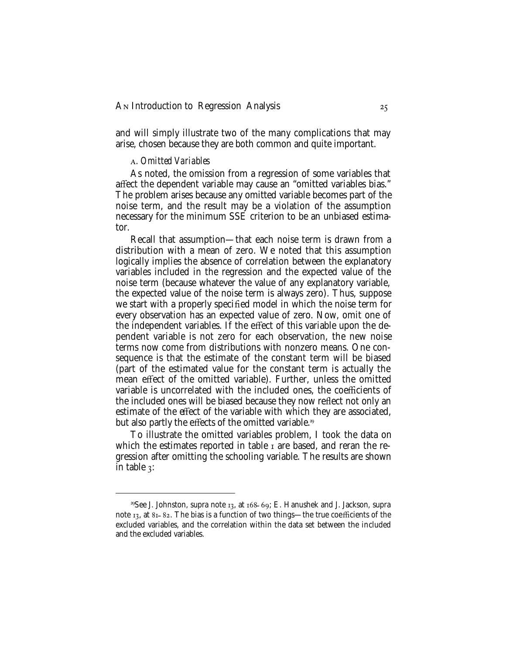and will simply illustrate two of the many complications that may arise, chosen because they are both common and quite important.

# *. Omitted Variables*

 $\overline{a}$ 

As noted, the omission from a regression of some variables that affect the dependent variable may cause an "omitted variables bias." The problem arises because any omitted variable becomes part of the noise term, and the result may be a violation of the assumption necessary for the minimum SSE criterion to be an unbiased estimator.

Recall that assumption—that each noise term is drawn from a distribution with a mean of zero. We noted that this assumption logically implies the absence of correlation between the explanatory variables included in the regression and the expected value of the noise term (because whatever the value of any explanatory variable, the expected value of the noise term is always zero). Thus, suppose we start with a properly specified model in which the noise term for every observation has an expected value of zero. Now, omit one of the independent variables. If the effect of this variable upon the dependent variable is not zero for each observation, the new noise terms now come from distributions with nonzero means. One consequence is that the estimate of the constant term will be biased (part of the estimated value for the constant term is actually the mean effect of the omitted variable). Further, unless the omitted variable is uncorrelated with the included ones, the coefficients of the included ones will be biased because they now reflect not only an estimate of the effect of the variable with which they are associated, but also partly the effects of the omitted variable.<sup>39</sup>

To illustrate the omitted variables problem, I took the data on which the estimates reported in table  $\bar{I}$  are based, and reran the regression after omitting the schooling variable. The results are shown in table  $\beta$ :

<sup>&</sup>lt;sup>29</sup>See J. Johnston, supra note  $_{13}$ , at  $_{168-69}$ ; E. Hanushek and J. Jackson, supra note  $r_3$ , at  $8r_8 - 8r_2$ . The bias is a function of two things—the true coefficients of the excluded variables, and the correlation within the data set between the included and the excluded variables.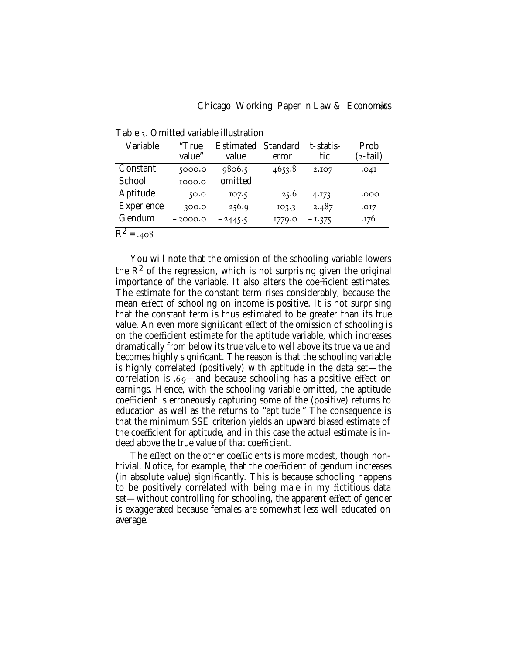| Variable          | "True<br>value" | <b>Estimated</b><br>value | <b>Standard</b><br>error | t-statis-<br>tic | Prob<br>$(2$ -tail) |
|-------------------|-----------------|---------------------------|--------------------------|------------------|---------------------|
| Constant          | 5000.0          | 9806.5                    | 4653.8                   | 2.107            | .04I                |
| <b>School</b>     | <b>1000.0</b>   | omitted                   |                          |                  |                     |
| Aptitude          | 50.0            | 107.5                     | 25.6                     | 4.173            | .000                |
| <b>Experience</b> | 300.0           | 256.9                     | IO3.3                    | 2.487            | .017                |
| Gendum            | $-2000.0$       | $-2445.5$                 | 1779.0                   | $-1.375$         | .176                |

Table 3. Omitted variable illustration

 $R^2 = .408$ 

You will note that the omission of the schooling variable lowers the  $R<sup>2</sup>$  of the regression, which is not surprising given the original importance of the variable. It also alters the coefficient estimates. The estimate for the constant term rises considerably, because the mean effect of schooling on income is positive. It is not surprising that the constant term is thus estimated to be greater than its true value. An even more significant effect of the omission of schooling is on the coefficient estimate for the aptitude variable, which increases dramatically from below its true value to well above its true value and becomes highly significant. The reason is that the schooling variable is highly correlated (positively) with aptitude in the data set—the correlation is  $.69$ —and because schooling has a positive effect on earnings. Hence, with the schooling variable omitted, the aptitude coefficient is erroneously capturing some of the (positive) returns to education as well as the returns to "aptitude." The consequence is that the minimum SSE criterion yields an upward biased estimate of the coefficient for aptitude, and in this case the actual estimate is indeed above the true value of that coefficient.

The effect on the other coefficients is more modest, though nontrivial. Notice, for example, that the coefficient of gendum increases (in absolute value) significantly. This is because schooling happens to be positively correlated with being male in my fictitious data set—without controlling for schooling, the apparent effect of gender is exaggerated because females are somewhat less well educated on average.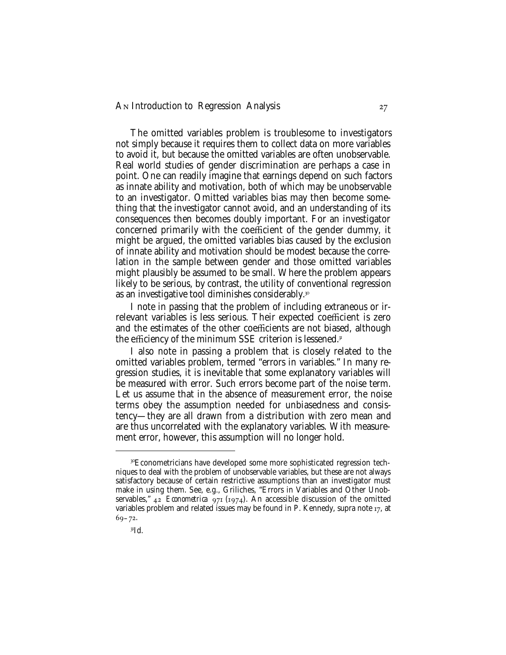The omitted variables problem is troublesome to investigators not simply because it requires them to collect data on more variables to avoid it, but because the omitted variables are often unobservable. Real world studies of gender discrimination are perhaps a case in point. One can readily imagine that earnings depend on such factors as innate ability and motivation, both of which may be unobservable to an investigator. Omitted variables bias may then become something that the investigator cannot avoid, and an understanding of its consequences then becomes doubly important. For an investigator concerned primarily with the coefficient of the gender dummy, it might be argued, the omitted variables bias caused by the exclusion of innate ability and motivation should be modest because the correlation in the sample between gender and those omitted variables might plausibly be assumed to be small. Where the problem appears likely to be serious, by contrast, the utility of conventional regression as an investigative tool diminishes considerably.

I note in passing that the problem of including extraneous or irrelevant variables is less serious. Their expected coefficient is zero and the estimates of the other coefficients are not biased, although the efficiency of the minimum SSE criterion is lessened.

I also note in passing a problem that is closely related to the omitted variables problem, termed "errors in variables." In many regression studies, it is inevitable that some explanatory variables will be measured with error. Such errors become part of the noise term. Let us assume that in the absence of measurement error, the noise terms obey the assumption needed for unbiasedness and consistency—they are all drawn from a distribution with zero mean and are thus uncorrelated with the explanatory variables. With measurement error, however, this assumption will no longer hold.

<sup>&</sup>lt;sup>30</sup>Econometricians have developed some more sophisticated regression techniques to deal with the problem of unobservable variables, but these are not always satisfactory because of certain restrictive assumptions than an investigator must make in using them. See, e.g., Griliches, "Errors in Variables and Other Unobservables,"  $42$  *Econometrica*  $971$  ( $1974$ ). An accessible discussion of the omitted variables problem and related issues may be found in P. Kennedy, supra note  $r<sub>7</sub>$ , at  $69 - 72.$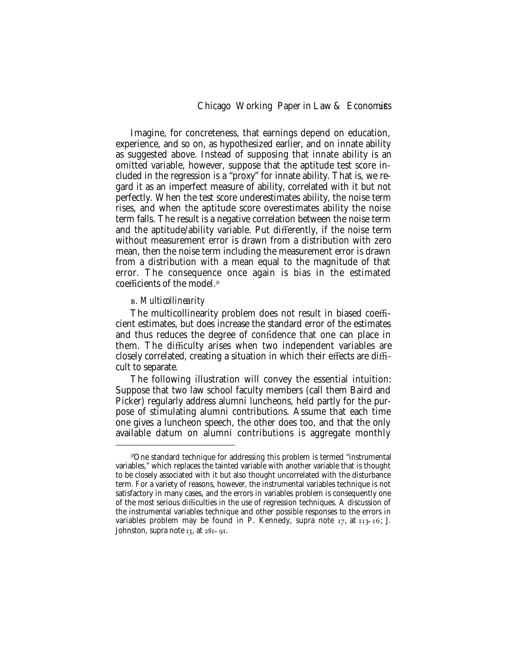Imagine, for concreteness, that earnings depend on education, experience, and so on, as hypothesized earlier, and on innate ability as suggested above. Instead of supposing that innate ability is an omitted variable, however, suppose that the aptitude test score included in the regression is a "proxy" for innate ability. That is, we regard it as an imperfect measure of ability, correlated with it but not perfectly. When the test score underestimates ability, the noise term rises, and when the aptitude score overestimates ability the noise term falls. The result is a negative correlation between the noise term and the aptitude/ability variable. Put differently, if the noise term without measurement error is drawn from a distribution with zero mean, then the noise term including the measurement error is drawn from a distribution with a mean equal to the magnitude of that error. The consequence once again is bias in the estimated coefficients of the model.

### *. Multicollinearity*

 $\overline{a}$ 

The multicollinearity problem does not result in biased coefficient estimates, but does increase the standard error of the estimates and thus reduces the degree of confidence that one can place in them. The difficulty arises when two independent variables are closely correlated, creating a situation in which their effects are difficult to separate.

The following illustration will convey the essential intuition: Suppose that two law school faculty members (call them Baird and Picker) regularly address alumni luncheons, held partly for the purpose of stimulating alumni contributions. Assume that each time one gives a luncheon speech, the other does too, and that the only available datum on alumni contributions is aggregate monthly

<sup>&</sup>lt;sup>3</sup>One standard technique for addressing this problem is termed "instrumental" variables," which replaces the tainted variable with another variable that is thought to be closely associated with it but also thought uncorrelated with the disturbance term. For a variety of reasons, however, the instrumental variables technique is not satisfactory in many cases, and the errors in variables problem is consequently one of the most serious difficulties in the use of regression techniques. A discussion of the instrumental variables technique and other possible responses to the errors in variables problem may be found in P. Kennedy, supra note  $17$ , at  $113-16$ ; J. Johnston, supra note  $I_3$ , at  $28I - 9I$ .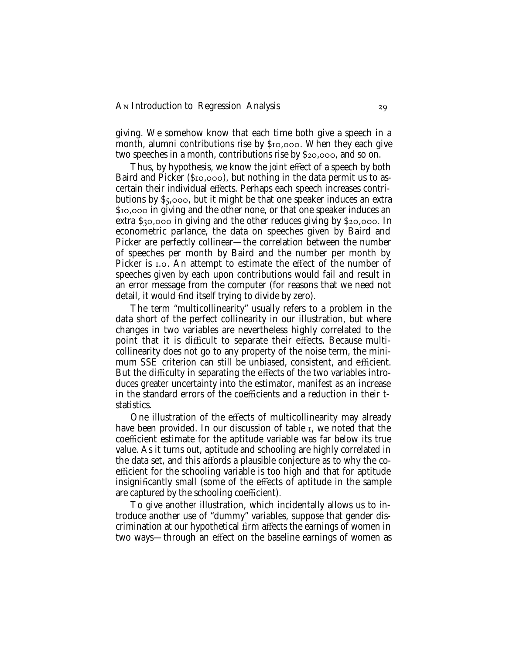giving. We somehow know that each time both give a speech in a month, alumni contributions rise by \$10,000. When they each give two speeches in a month, contributions rise by  $\S_{20,000}$ , and so on.

Thus, by hypothesis, we know the *joint* effect of a speech by both Baird and Picker  $(S_{10,000})$ , but nothing in the data permit us to ascertain their individual effects. Perhaps each speech increases contributions by  $\zeta_5$ ,  $\circ \circ \circ$ , but it might be that one speaker induces an extra S<sub>10</sub>,000 in giving and the other none, or that one speaker induces an extra  $\S_3$ , ooo in giving and the other reduces giving by  $\S_2$ , ooo. In econometric parlance, the data on speeches given by Baird and Picker are perfectly collinear—the correlation between the number of speeches per month by Baird and the number per month by Picker is  $I. \circ$ . An attempt to estimate the effect of the number of speeches given by each upon contributions would fail and result in an error message from the computer (for reasons that we need not detail, it would find itself trying to divide by zero).

The term "multicollinearity" usually refers to a problem in the data short of the perfect collinearity in our illustration, but where changes in two variables are nevertheless highly correlated to the point that it is difficult to separate their effects. Because multicollinearity does not go to any property of the noise term, the minimum SSE criterion can still be unbiased, consistent, and efficient. But the difficulty in separating the effects of the two variables introduces greater uncertainty into the estimator, manifest as an increase in the standard errors of the coefficients and a reduction in their tstatistics.

One illustration of the effects of multicollinearity may already have been provided. In our discussion of table  $\bar{I}$ , we noted that the coefficient estimate for the aptitude variable was far below its true value. As it turns out, aptitude and schooling are highly correlated in the data set, and this affords a plausible conjecture as to why the coefficient for the schooling variable is too high and that for aptitude insignificantly small (some of the effects of aptitude in the sample are captured by the schooling coefficient).

To give another illustration, which incidentally allows us to introduce another use of "dummy" variables, suppose that gender discrimination at our hypothetical firm affects the earnings of women in two ways—through an effect on the baseline earnings of women as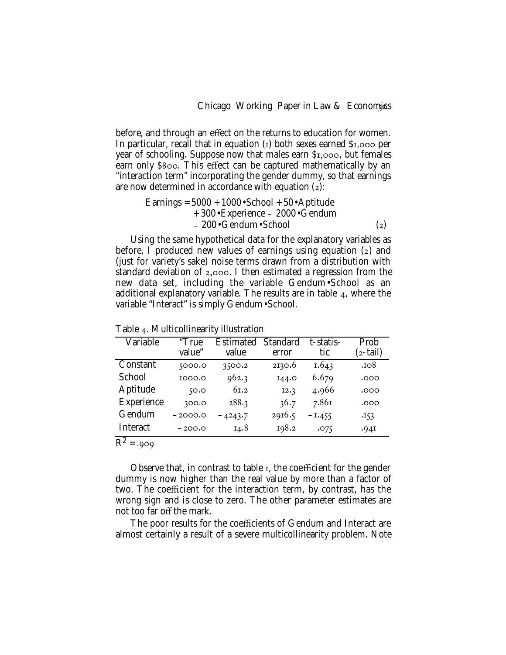before, and through an effect on the returns to education for women. In particular, recall that in equation  $(i)$  both sexes earned  $S_{I,\text{OOO}}$  per year of schooling. Suppose now that males earn \$1,000, but females earn only \$800. This effect can be captured mathematically by an "interaction term" incorporating the gender dummy, so that earnings are now determined in accordance with equation  $(z)$ :

Earnings = 
$$
5000 + 1000 \cdot \text{School} + 50 \cdot \text{Aptitude}
$$

\n $+ 300 \cdot \text{Experience} - 2000 \cdot \text{Gendum}$ 

\n $- 200 \cdot \text{Gendum} \cdot \text{School}$ 

\n(2)

Using the same hypothetical data for the explanatory variables as before,  $\overline{I}$  produced new values of earnings using equation (2) and (just for variety's sake) noise terms drawn from a distribution with standard deviation of  $2,000$ . I then estimated a regression from the new data set, including the variable Gendum • School as an additional explanatory variable. The results are in table  $\overline{4}$ , where the variable "Interact" is simply Gendum • School.

| Variable          | "True<br>value" | <b>Estimated</b><br>value | <b>Standard</b><br>error | t-statis-<br>tic | Prob<br>$(2-tail)$ |
|-------------------|-----------------|---------------------------|--------------------------|------------------|--------------------|
| Constant          | 5000.0          | 3500.2                    | 2130.6                   | 1.643            | .108               |
| <b>School</b>     | <b>1000.0</b>   | 962.3                     | 144.0                    | 6.679            | .000               |
| Aptitude          | 50.0            | 61.2                      | I2.3                     | 4.966            | .000               |
| <b>Experience</b> | 300.0           | 288.3                     | 36.7                     | 7.861            | .000               |
| Gendum            | $-2000.0$       | $-4243.7$                 | 2916.5                   | $-1.455$         | .153               |
| <b>Interact</b>   | $-200.0$        | 14.8                      | 198.2                    | .075             | .94I               |

Table  $_4$ . Multicollinearity illustration

 $R^2 = .909$ 

Observe that, in contrast to table  $I$ , the coefficient for the gender dummy is now higher than the real value by more than a factor of two. The coefficient for the interaction term, by contrast, has the wrong sign and is close to zero. The other parameter estimates are not too far off the mark.

The poor results for the coefficients of Gendum and Interact are almost certainly a result of a severe multicollinearity problem. Note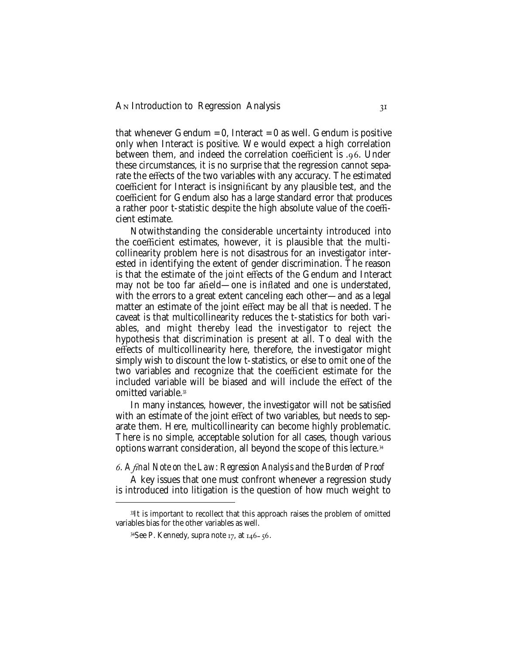that whenever Gendum  $= 0$ , Interact  $= 0$  as well. Gendum is positive only when Interact is positive. We would expect a high correlation between them, and indeed the correlation coefficient is .96. Under these circumstances, it is no surprise that the regression cannot separate the effects of the two variables with any accuracy. The estimated coefficient for Interact is insignificant by any plausible test, and the coefficient for Gendum also has a large standard error that produces a rather poor t-statistic despite the high absolute value of the coefficient estimate.

Notwithstanding the considerable uncertainty introduced into the coefficient estimates, however, it is plausible that the multicollinearity problem here is not disastrous for an investigator interested in identifying the extent of gender discrimination. The reason is that the estimate of the *joint* effects of the Gendum and Interact may not be too far afield—one is inflated and one is understated, with the errors to a great extent canceling each other—and as a legal matter an estimate of the joint effect may be all that is needed. The caveat is that multicollinearity reduces the t-statistics for both variables, and might thereby lead the investigator to reject the hypothesis that discrimination is present at all. To deal with the effects of multicollinearity here, therefore, the investigator might simply wish to discount the low t-statistics, or else to omit one of the two variables and recognize that the coefficient estimate for the included variable will be biased and will include the effect of the omitted variable.

In many instances, however, the investigator will not be satisfied with an estimate of the joint effect of two variables, but needs to separate them. Here, multicollinearity can become highly problematic. There is no simple, acceptable solution for all cases, though various options warrant consideration, all beyond the scope of this lecture.

#### *. A final Note on the Law: Regression Analysis and the Burden of Proof*

A key issues that one must confront whenever a regression study is introduced into litigation is the question of how much weight to

<sup>&</sup>lt;sup>33</sup>It is important to recollect that this approach raises the problem of omitted variables bias for the other variables as well.

<sup>&</sup>lt;sup>34</sup>See P. Kennedy, supra note  $r$ , at  $r$ <sub>46-56</sub>.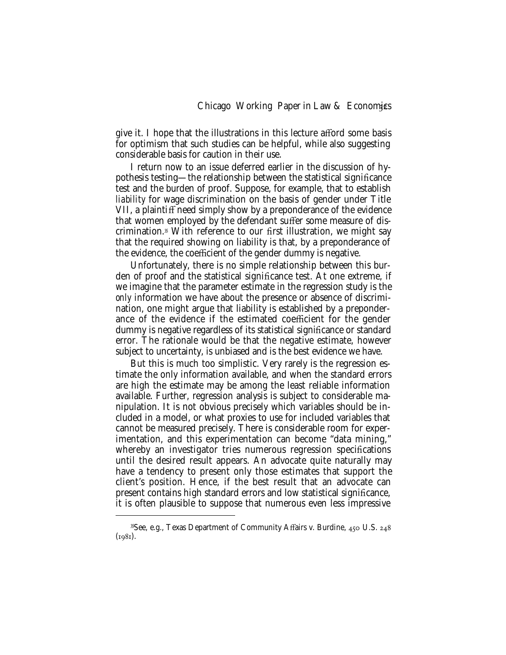give it. I hope that the illustrations in this lecture afford some basis for optimism that such studies can be helpful, while also suggesting considerable basis for caution in their use.

I return now to an issue deferred earlier in the discussion of hypothesis testing—the relationship between the statistical significance test and the burden of proof. Suppose, for example, that to establish *liability* for wage discrimination on the basis of gender under Title VII, a plaintiff need simply show by a preponderance of the evidence that women employed by the defendant suffer some measure of discrimination. $\delta$  With reference to our first illustration, we might say that the required showing on liability is that, by a preponderance of the evidence, the coefficient of the gender dummy is negative.

Unfortunately, there is no simple relationship between this burden of proof and the statistical significance test. At one extreme, if we imagine that the parameter estimate in the regression study is the *only* information we have about the presence or absence of discrimination, one might argue that liability is established by a preponderance of the evidence if the estimated coefficient for the gender dummy is negative regardless of its statistical significance or standard error. The rationale would be that the negative estimate, however subject to uncertainty, is unbiased and is the best evidence we have.

But this is much too simplistic. Very rarely is the regression estimate the only information available, and when the standard errors are high the estimate may be among the least reliable information available. Further, regression analysis is subject to considerable manipulation. It is not obvious precisely which variables should be included in a model, or what proxies to use for included variables that cannot be measured precisely. There is considerable room for experimentation, and this experimentation can become "data mining," whereby an investigator tries numerous regression specifications until the desired result appears. An advocate quite naturally may have a tendency to present only those estimates that support the client's position. Hence, if the best result that an advocate can present contains high standard errors and low statistical significance, it is often plausible to suppose that numerous even less impressive

 $^{35}$ See, e.g., Texas Department of Community Affairs v. Burdine,  $_{45}$ o U.S. 248  $(1981).$